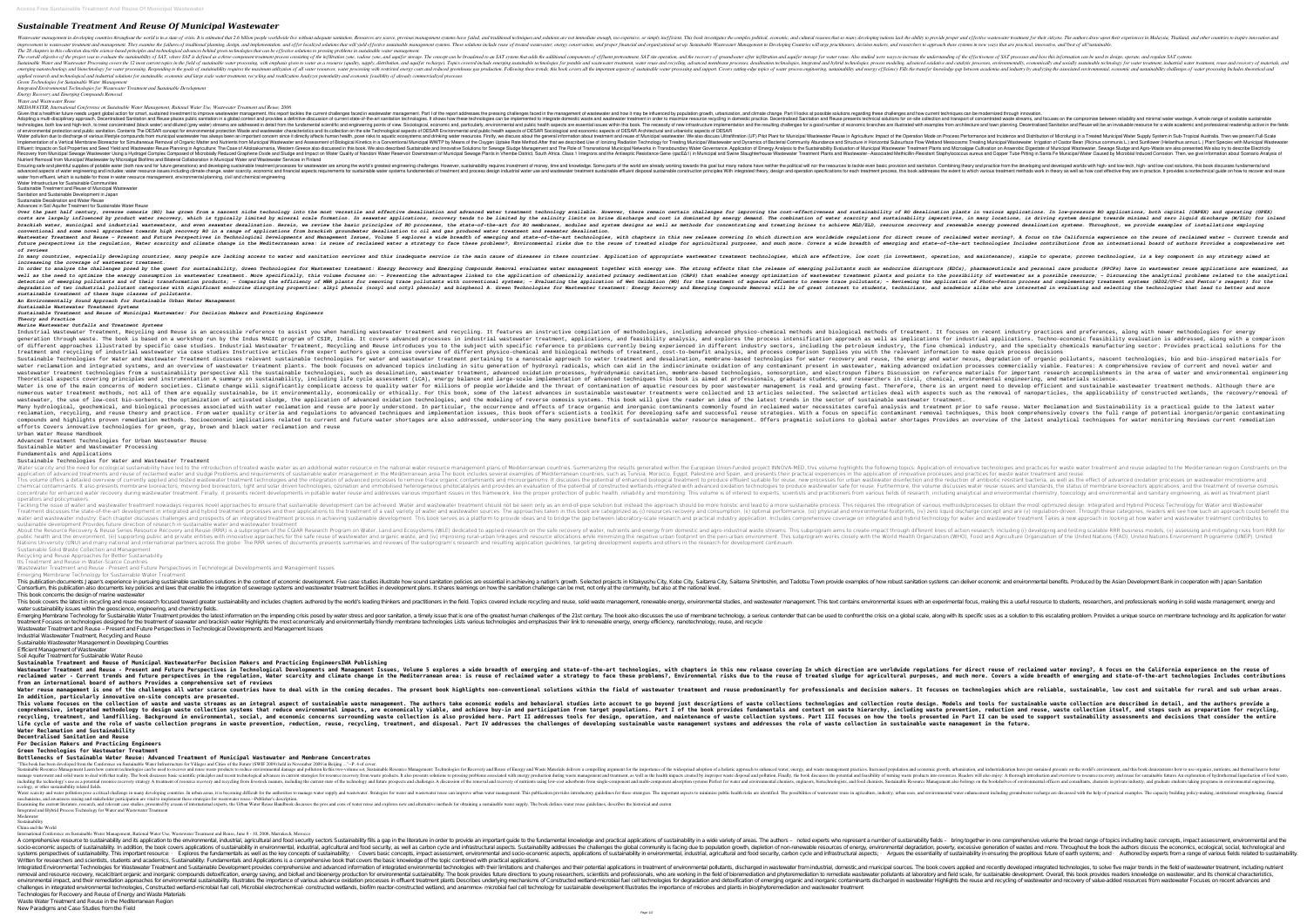# *Sustainable Treatment And Reuse Of Municipal Wastewater*

Doll is in a state of crisis. It is estimated through and eveloping nations lack the world is in a state of crisis. It is estimated that 2.6 billion people worldwide live or without adequate sanitation. Resources are scarc improvement in wastewater treatment and management. They examine the failures of traditional planning, design, and implementation, and organizational set up. Sustainable Wastewater, and researchers, and researchers to appr *The 28 chapters in this collection describe science-based principles and technological advances behind green technologies that can be effective solutions to pressing problems in sustainable water management.* The overall objective of the project was to evaluate the sustainability of SAT, where SAT is defined as a three-component treatment process consisting of the infiltration and aquifer storage for water reuse. Also studied w nost covers the 12 most current topics in the field of sustainable water processing, with emphasis given to water processing, with emphasis given to water as a resourced oxidative and socially sustainable technologies, int nanotechnology and biotechnology for water processing. Responding to the goals of sustainability requires the maximum utilization of all water process engineering, sustainability and energy efficiency Fills the transfer kn applied research and technological and industrial solutions for sustainable, economic and large scale water treatment, recycling and reutilization Analyzes potentiality and economic feasibility of already commercialized pr *Green Technologies for Sustainable Water Management*

*Integrated Environmental Technologies for Wastewater Treatment and Sustainable Development*

*Energy Recovery and Emerging Compounds Removal Water and Wastewater Reuse*

*MEDAWATER, International Conference on Sustainable Water Management, Rational Water Use, Wastewater Treatment and Reuse, 2006*

Given that a healthier future needs urgent global action for smart, sustained investment to improve wastemate on improve wastewater management, this report tackles the current challenges faced in the management. Part II lo Adopting a multi-disciplinary approach, Decentralised Sanitation and Reuse places public sanitation and Reuse places public sanitation in a global context and provides a definitive discussion of current state-of-the-art sa nothlow and high-tech, to treat concentrated (black water) and diluted (grey water) streams are addressed in detail from the fundamental scientific and engineering points of New infrastructure and town planning. Decentrali of environmental protection and public sanitation. Contents The DESAR concept for environmental protection Waste and wastewater characteristics and its collection on the site Technological aspects of DESAR Sociological and Done of warrous lifestyle compounds from municipal wastewater has always been an important concern since it directly affects human health, pose risks to aquatic ecosystems and Distribution of Municipal Waster Supply System Implementation of a Vertical Membrane Bioreactor for Simultaneous Removal of Organic Matter and Organic Matter and Nutrients from Municipal Wastewater and Assessment of Biological Kinetics in a Conventional Municipal Waste Defluent: Impacts on Soil Properties and Seed Yield and Wastewater Reuse Planning in Agriculture: The Case of Aitoloakarnania, Western Greece also discussed in this book. We also described Sustewater, Sewage Sludge and Agr Necovery from Municipal Sewage Wastewater Using a Hydrogel Complex Composed of Microbially Reduced Graphene Oxide and Sludge and Sludge and Municipal Water Quality of Nandoni Water Quality of Nandoni Water Caused by Micro Nutrient Removal from Municipal Wastewater by Microalgal Biofilms and Bilateral Collaboration in Municipal Water and Wastewater Services in Finland Ensuring safe and plentiful supplies of potable water (both now and for future generations) and developing sustainable treatment processes for wastewater are among the world's greatest engineering challenges. However, sust and includes: water resource issues including climate change, water scalled including climate change, water scarcity, economic and financial aspects resource issues the extent to which various treatment methods work in the

the past half century, reverse osmosis (RO) has grown from a nascent niche technology into the most versatile and effectiveness and sustainability of RO desalination plants in various applications. In low-pressure RO appli the salinity limical and substranded by product water recovery, which is typically limited by limited by mineral scale formation. In seawater applications, recovery tends to be limited by the salinity limits on brine disch the state-of-the-art forestion we restrick wastert and treating serve and even seawater desalination. Herein, we review the basic principles of RO processes, the state-of-the-art for RO membranes, modules and system design *conventional and some novel approaches towards high recovery RO in a range of applications from brackish groundwater desalination to oil and gas produced water treatment and seawater desalination.* Wastewater Treatment and Reuse – Present and Future Perspectives in Technological Developments and Management Issues, Volume 5 explores a wide breadth of emerging and state-of-the-art technologies, with chapters in this ne imate change in the regulation, Water scarcity and climate change in the Mediterranean area: is reuse of reclaimed water a strategy to face these problems?, Environmental risks due to the reuse of reclaimed water a strateg *of reviews*

In many countries, especially developing countries, many people are lacking access to water and sanitation, and maintenance), simple to operate, proven technologies, is a key component in any strategy aimed at *increaseing the coverage of wastewater treatment.*

In order to analyse the challenges posed by the quest for sustainability, Green Technologies for Technologies for Wastewater treatment: Energy Recovery and Emerging Compounds Removal evaluates water management together wit the need to optimize the energy consumption in wastewater treatment. More specifically, this volume focuses on: - Presenting the advantages linked to the analytical problems related to the analytical as the analytical prob the efficiency of emerging pollutants and of their transformation products; - Comparing the efficiency of MBR plants for removing trace pollutants, - Reviewing the application of Photo-Fenton process and complementary trea ignificant endocrine disruption and a Emerging properties: alkyl phenols, and academics alike who are interested in evaluating and selecting the technologies that lead to better and more degradation of two industrial pollu *sustainable treatment of these huge classes of pollutants.*

water from effluent, which is suitable for those in water resource management, environmental planning, civil and chemical engineering.

Water Infrastructure for Sustainable Communities

Sustainable Treatment and Reuse of Municipal Wastewater Sanitation and Sustainable Development in Japan

Sustainable Desalination and Water Reuse

Advances in Soil Aquifer Treatment for Sustainable Water Reuse

Tackling the issue of water and wastewater treatment nowadays requires novel approaches to ensure should approaches to ensure that sustainable development can be achieved. Water and wastewater treatment should not be seen Treatment discusses the state-of-the-art development in integrated and hybrid treatment processes and their applications to the treatment of a vast variety of water and wastewater sources. The approaches taken in this book water and wastewater industry. Each chapter discusses challenges and prospects of an integrated treatment process in achieving sustainable development. This book serves as a platform to provide ideas and to bridge the gap sustainable development Provides future direction of research in sustainable water and wastewater treatment

About the Resource Recovery & Reuse Series Resource Recovery and Reuse (RRR) is a subprogram of the CGIAR Research, including (i) developing and testing scalable RRR business models, (ii) assessing and mitigating risks fro public health and the environment, (iii) supporting public and private entities with innovative approaches for the safe reuse of wastewater and organization (WHO), Food and Agriculture Organization of the United Nations (F Nations University (UNU) and many national and international partners across the globe. The RRR series of documents presents summaries and resulting application guidelines, targeting development experts and others in the r

Emerging Membrane Technology for Sustainable Water Treatment This publication documents Japan's experience in pursuing sustainable sanitation solutions in the context of economic development. Five case studies illustrate how sound sanitation policies are essential in achieving a nat Consortium, this publication also documents key policies and laws that enable the integration of sewerage systems and wastewater treatment facilities in development plans. It shares learnings on how the sanitation challeng

This book concerns the design of marine wastewater This book covers the latest in recycling and reuse research focused toward greater sustainability and includes sustainability and includes chapters authored by the world's leading thinkers and practitioners in the field. T water sustainability issues within the geoscience, engineering, and chemistry fields. Emerging Membrane Technology for Sustainable Water Treatment provides the latest information on the impending crisis posed by water stress and poor sanitation, a timely issue that is one of the greatest human challenges of

treatment Focuses on technologies designed for the treatment of seawater and brackish water Highlights the most economically and environmentally friendly membrane technologies Lists various technologies and emphasizes thei Wastewater Treatment and Reuse – Present and Future Perspectives in Technological Developments and Management Issues Industrial Wastewater Treatment, Recycling and Reuse

*An Environmentally Sound Approach for Sustainable Urban Water Management*

*Sustainable Wastewater Treatment Systems Sustainable Treatment and Reuse of Municipal Wastewater: For Decision Makers and Practicing Engineers Theory and Practice*

### *Marine Wastewater Outfalls and Treatment Systems*

ife cycle of waste and the role of waste collection programs in waste prevention, reduction, reduction, reuse, recycling, treatment, and disposal. Part IV addresses the role of waste collection in sustainable waste managem **Water Reclamation and Sustainability**

**Bottlenecks of Sustainable Water Reuse: Advanced Treatment of Municipal Wastewater and Membrane Concentrates** "This book has been developed from the Conference on Sustainable Water Infrastructure for Villages and Cities of the Future (SWIF 2009) held in November 2009 in Beijing ..."--P. 4 of cover. Sustainable Resource Management Learn how current technologies can be used to recover and reuse waste products to reduce environmental damage and pollution In this two-volume set, Sustainable Resource Management: Technolog nanage wastewater and solid waste to deal with that reality. The book discusses basic scientific principles and recent technological and recent technological advances in current strategies for resource recovery from waste including the technology's use as a potential resource recovery strategy A treatment of resource recovery strategy A treatment of resource recovery and recovery and recovery and recovery and recovery and recovery and recov ecology, or other sustainability related fields. Water scarcity and water pollution pose a critical challenge in many developing countries. In urban areas, it is becoming difficult for the authorities to manage water reuses, and environmental water enchancement including

efforts Covers innovative technologies for green, gray, brown and black water reclamation and reuse Urban Water Reuse Handbook

Advanced Treatment Technologies for Urban Wastewater Reuse

Sustainable Water and Wastewater Processing

Fundamentals and Applications

Sustainable Technologies for Water and Wastewater Treatment Water scarcity and the need for ecological sustainability have led to the introduction of treated waste water as an additional water as an additional water resource in the national water resource in the national water trea application of advanced treatments and reuse of reclaimed water and sludge Problems and requirements of sustainable water management in the application of innovative processes and practices for waste water treatment and re This volume offers a detailed overview of currently applied and tested wastewater treatment technologies and the integration of antibiotic resistant bacteria, as well as the effect of advanced oxidation processes on wastew chemical contaminants. It also presents membrane bioreactors, moving bed bioreactors, light and solar driven technologies to produce wastewater safe for reuse. Furthermore, the volume discusses water reuse issues and stand concentrate for enhanced water recovery during wastewater treatment. Finally, it presents recent developments in potable water reuse and addresses various important issues in this framework, like the proper protection of p operators and policymakers.

Sustainable Solid Waste Collection and Management Recycling and Reuse Approaches for Better Sustainability

Its Treatment and Reuse in Water-Scarce Countries

Wastewater Treatment and Reuse - Present and Future Perspectives in Technological Developments and Management Issues

Sustainable Wastewater Management in Developing Countries

Efficient Management of Wastewater

Soil Aquifer Treatment for Sustainable Water Reuse **Sustainable Treatment and Reuse of Municipal WastewaterFor Decision Makers and Practicing EngineersIWA Publishing**

**from an international board of authors Provides a comprehensive set of reviews In addition, particularly innovative on-site concepts are presented.**

```
Decentralised Sanitation and Reuse
```
**For Decision Makers and Practicing Engineers**

**Green Technologies for Wastewater Treatment**

mechanisms, and awareness raising and stakeholder participation are vital to implement these strategies for wastewater reuse.--Publisher's description. Examining the current literature, research, and relevant case studies, presented by a team of international experts, the Urban Water Reuse Handbook discusses the pros and cons of water reuse and explores new and alternativ Integrated and Hybrid Process Technology for Water and Wastewater Treatment Medawater

### Sustainability

China and the World

International Conference on Sustainable Water Management, Rational Water Use, Wastewater Treatment and Reuse, June 8 - 10, 2006, Marrakech, Morocco A comprehensive resource to sustainability and its application to the environmental, industrial, industrial, agricultural and food security sectors Sustainability fills a gap in the literature in one comprehensive volume t socio-economic aspects of sustainability. In addition, the book covers applications of sustainability in environmental, industrial, industrial, agricultural and food security, as well as carbon cycle and more. Throughout t . Explores the fundamentals as well as the key concepts of sustainability; • Covers basic concepts, impact aspects, applications of sustainability; • Covers basic concepts, impact aspects; • Arques the essentiality in ensu Written for researchers and scientists, students and academics, Sustainability: Fundamentals and Applications is a comprehensive book that covers the basic knowledge of the topic combined with practical applications. Integrated Environmental Technologies for Wastewater Treatment and Sustainable Development provides comprehensive and advanced information of integrated environmental technologies, to solve five major trends in the field o removal and resource recovery, recalcitrant organic and inorganic compounds de toxification, energy saving, and biofuel and bioenergy saving, and bioenergy production for environmental sustainable development. Overall, thi environmental impact, and their remediation approaches for environmental sustainability. Illustrates the importance of various advance of various advance of various advance oxidation processes in effluent treatment plants challenges in integrated environmental technologies, Constructed wetland-microbial fuel cell, Microbial electrochemical- constructed wetlands, biofilm reactor-constructed wetland, and anammox- microbial fuel cell technolog Technologies for Recovery and Reuse of Energy and Waste Materials Waste Water Treatment and Reuse in the Mediterranean Region

New Paradigms and Case Studies from the Field

Industrial Wastewater Treatment, Recycling and Reuse is an accessible reference to assist you when handling wastewater and preferences, along with newer methodologies for energy Industry practices and preferences, along wi exhing malysis, and explores in the seal on a workshop run by the Indus MAGIC program of CSIR, India. It covers advanced processes in industrial applications, and feasibility analysis, and feasibility analysis, and explore of different approaches illustrated by specific case studies. Industrial Wastewater Treatment, Recycling and the specialty chemicals manufacturing sector. Provides practical solutions for the offerent andustry, the fine ch treatment and recycling of industrial wastewater via case studies Instructive articles Instructive articles from expert authors give a concise overview of different physico-chemical and biological methods of treatment, cos sustainable Technologies for Water and Wastewater Treatment discusses relevant sustainable technologies for water nexus, degradation of organic pollutants, nascent technologies, bio and bio-inspired materials for anterials ivelevation and integrated systems, and an overview of wastewater treatment plants. The book focuses on advanced oxidation processes commercially viable. Features: A comprehensive review of current and novel water and wate sural the surable is the sural sustainability perspective All the sustainable technologies, such as desalination, and electrospun fibers Discussion on reference materials for important research accomplishments in the area Theoretical aspects covering principles and instrumentation A summary on sustainability, including life cycle assessment (LCA), energy balance and large-scale implementation of advanced techniques This book is aimed at pro Water is one of the main concerns of modern societies. Climate change will significantly complicate is an urgent need to develop efficient and sustainable wastewater treatment methods. Although there are Water is one of mi removal of the selecta on a substrant methods, not all of them are equally sustainable, be it environmentally, be it environmentally, economically or ethically. For this book, some of the latest advances in sustainable was wastewater, the use of low-cost bio-sorbents, the optimization of activated sludge, the application of advanced oxidation technologies, and the modeling of reverse osmosis systems. This book will give the reader an idea of Many hydrological, geochemical, and biological processes associated with water reclamation and reuse are poorly understood. In particular, the occurrence and effects of trace organic and inorganic contaminants commonly fou reclamation, recycling, and reuse theory and practice. From water quality criteria and regulations to advanced techniques, this book comprehensively covers the full range of potential inorganic/organic contaminating compounds and highlights proven remediation methods. Socioeconomic implications related to current and future water shortages an overview of the latest analytical techniques for water monitoring Reviews current remediation

Wastewater Treatment and Reuse - Present and Future Perspectives in Technological Developments and Management Issues, Volume 5 explores a wide breadth of emerging and state-of-the-art technologies, with chapters in this ne reclaimed water - Current trends and future perspectives in the regulation, Water scarcity and climate scarcity and climate change in the Mediterranean area: is reuse of reclaimed water a strategy to face these problems?, water reuse management is one of the challenges all water scarce countries have to deal with in the coming decades. It focuses on technologies which are reliable, sustainable, low cost and suitable for rural and sub urban This volume focuses on the collection of waste and waste streams as an integral aspect of sustainable waste management. The authors take economic models and tools for sustainable waste collections technologies and tools fo comprehensive, integrated methodology to design waste collection systems that reduce environmental impacts, are economically viable, and reuse, waste collection itself, and steps such as preparation for recycling, comprehe recycling, treatment, and landfilling. Background in environmental, social, and economic concerns surrounding waste vallection is also provided here. Part II focuses on how the tools presented in Part II can be used to sup